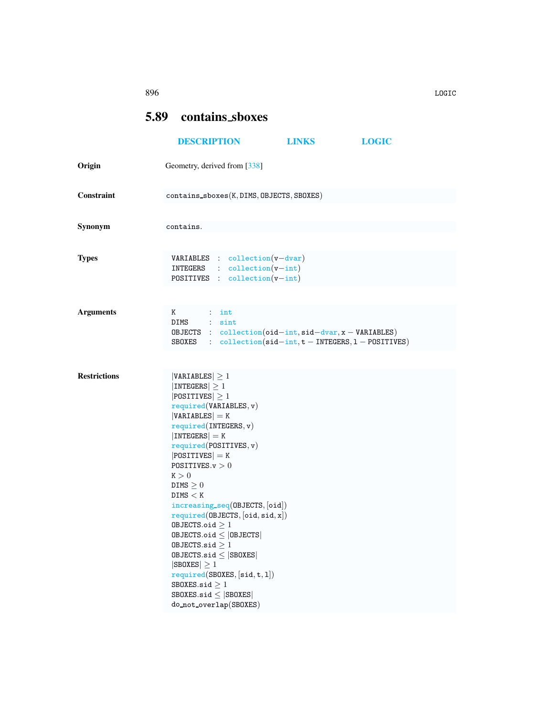## 896 LOGIC

## <span id="page-0-0"></span>5.89 contains sboxes

|                     | <b>DESCRIPTION</b>                                                                                                                                                                                                                                                                                                                                                                                                                                                                                                                                                                                             | <b>LINKS</b>                                                                                                                                                | <b>LOGIC</b> |
|---------------------|----------------------------------------------------------------------------------------------------------------------------------------------------------------------------------------------------------------------------------------------------------------------------------------------------------------------------------------------------------------------------------------------------------------------------------------------------------------------------------------------------------------------------------------------------------------------------------------------------------------|-------------------------------------------------------------------------------------------------------------------------------------------------------------|--------------|
| Origin              | Geometry, derived from [338]                                                                                                                                                                                                                                                                                                                                                                                                                                                                                                                                                                                   |                                                                                                                                                             |              |
| Constraint          | contains_sboxes(K, DIMS, OBJECTS, SBOXES)                                                                                                                                                                                                                                                                                                                                                                                                                                                                                                                                                                      |                                                                                                                                                             |              |
| Synonym             | contains.                                                                                                                                                                                                                                                                                                                                                                                                                                                                                                                                                                                                      |                                                                                                                                                             |              |
| <b>Types</b>        | $VARIABLES$ : collection( $v$ -dvar)<br>$INTEGRS$ : $collection(v-int)$<br>POSITIVES : $\text{collection}(v\text{-int})$                                                                                                                                                                                                                                                                                                                                                                                                                                                                                       |                                                                                                                                                             |              |
| <b>Arguments</b>    | K<br>$\cdots$ int<br>DIMS : sint                                                                                                                                                                                                                                                                                                                                                                                                                                                                                                                                                                               | OBJECTS : $collection(oid-int, sid-dvar, x - VARIABLES)$<br>SBOXES : $\text{collection}(\text{sid} - \text{int}, t - \text{INTEGRS}, 1 - \text{POSITIVES})$ |              |
| <b>Restrictions</b> | $ VARIABLES  \geq 1$<br>$ INTEGRS  \geq 1$<br>$ $ POSITIVES $ \geq 1$<br>required(VARIABLES, v)<br>$ VARIABLES $ = K<br>required(INTERS, v)<br>$ INTEGERS  = K$<br>required(POSTTIVES, v)<br>$ POSITIVES  = K$<br>POSITIVES. $v > 0$<br>K > 0<br>DIMS $\geq 0$<br>DIMS < K<br>$increasing\_seq(0BJECTS, [oid])$<br>required(DBJECTS, [oid, sid, x])<br>OBJECTS.oid $\geq 1$<br>$0$ BJECTS.oid $\leq$  OBJECTS <br>OBJECTS.sid $\geq 1$<br>$0$ BJECTS.sid $\leq$  SB0XES <br>$ SBOKES  \geq 1$<br>required(SBOXES, [sid, t, 1])<br>SBOXES.sid $\geq 1$<br>$SBOKES.size \leq  SBOKES $<br>do_not_overlap(SBOXES) |                                                                                                                                                             |              |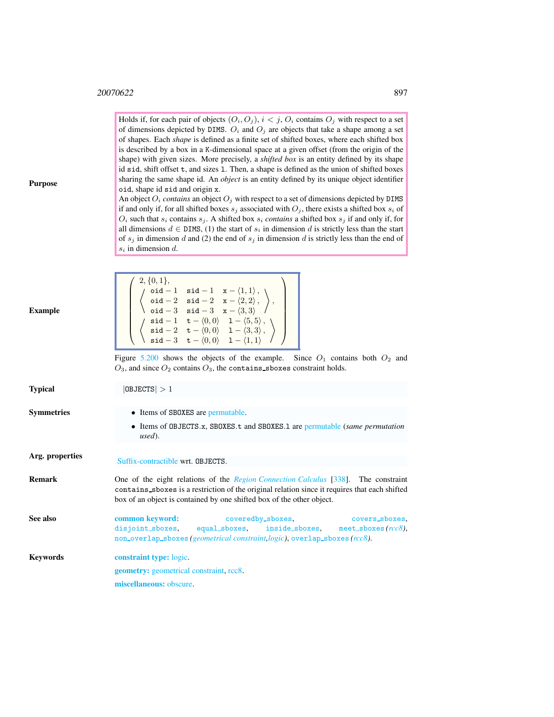Н

Holds if, for each pair of objects  $(O_i, O_j)$ ,  $i < j$ ,  $O_i$  contains  $O_j$  with respect to a set of dimensions depicted by DIMS.  $O_i$  and  $O_j$  are objects that take a shape among a set of shapes. Each *shape* is defined as a finite set of shifted boxes, where each shifted box is described by a box in a K-dimensional space at a given offset (from the origin of the shape) with given sizes. More precisely, a *shifted box* is an entity defined by its shape id sid, shift offset t, and sizes l. Then, a shape is defined as the union of shifted boxes sharing the same shape id. An *object* is an entity defined by its unique object identifier oid, shape id sid and origin x.

An object  $O_i$  *contains* an object  $O_j$  with respect to a set of dimensions depicted by DIMS if and only if, for all shifted boxes  $s_j$  associated with  $O_j$ , there exists a shifted box  $s_i$  of  $O_i$  such that  $s_i$  contains  $s_j$ . A shifted box  $s_i$  *contains* a shifted box  $s_j$  if and only if, for all dimensions  $d \in \text{DIMS}, (1)$  the start of  $s_i$  in dimension d is strictly less than the start of  $s_j$  in dimension d and (2) the end of  $s_j$  in dimension d is strictly less than the end of  $s_i$  in dimension d.

Purpose

<span id="page-1-0"></span>

| Example         | $\left( \begin{array}{c} 2,\{0,1\},\\ \left\langle \begin{array}{cc} \texttt{oid}-1 & \texttt{sid}-1 & \texttt{x}-\langle 1,1\rangle\,,\\ \texttt{oid}-2 & \texttt{sid}-2 & \texttt{x}-\langle 2,2\rangle\,,\\ \texttt{oid}-3 & \texttt{sid}-3 & \texttt{x}-\langle 3,3\rangle \end{array}\right\rangle,\\ \left( \begin{array}{c} \texttt{sid}-1 & \texttt{t}-\langle 0,0\rangle & 1-\langle 5,5\rangle\,,\\ \texttt{sid}-2 & \texttt{t}-\langle 0,0\rangle & 1-\langle 3,3\rangle,\end{array}\right\r$ |  |  |  |
|-----------------|----------------------------------------------------------------------------------------------------------------------------------------------------------------------------------------------------------------------------------------------------------------------------------------------------------------------------------------------------------------------------------------------------------------------------------------------------------------------------------------------------------|--|--|--|
|                 | Figure 5.200 shows the objects of the example. Since $O_1$ contains both $O_2$ and<br>$O_3$ , and since $O_2$ contains $O_3$ , the contains sboxes constraint holds.                                                                                                                                                                                                                                                                                                                                     |  |  |  |
| Typical         | 0BJECTS >1                                                                                                                                                                                                                                                                                                                                                                                                                                                                                               |  |  |  |
| Symmetries      | • Items of SBOXES are permutable.<br>• Items of OBJECTS.x, SBOXES.t and SBOXES.1 are permutable (same permutation<br>used).                                                                                                                                                                                                                                                                                                                                                                              |  |  |  |
| Arg. properties | Suffix-contractible wrt. OBJECTS.                                                                                                                                                                                                                                                                                                                                                                                                                                                                        |  |  |  |
| Remark          | One of the eight relations of the <i>Region Connection Calculus</i> [338]. The constraint<br>contains showes is a restriction of the original relation since it requires that each shifted<br>box of an object is contained by one shifted box of the other object.                                                                                                                                                                                                                                      |  |  |  |
| See also        | common keyword:<br>coveredby_sboxes, covers_sboxes,<br>disjoint_sboxes, equal_sboxes, inside_sboxes, meet_sboxes(rcc8),<br>non_overlap_sboxes(geometrical constraint, logic), overlap_sboxes(rcc8).                                                                                                                                                                                                                                                                                                      |  |  |  |
| Keywords        | <b>constraint type:</b> logic.<br><b>geometry:</b> geometrical constraint, rcc8.<br>miscellaneous: obscure.                                                                                                                                                                                                                                                                                                                                                                                              |  |  |  |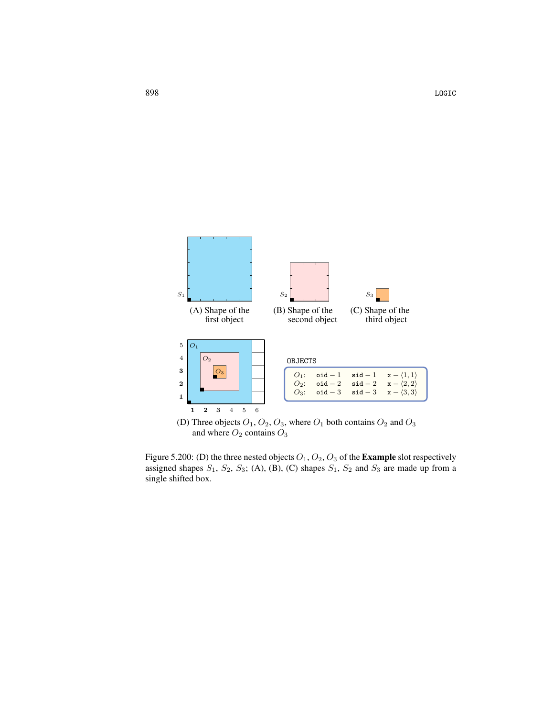

<span id="page-2-0"></span>